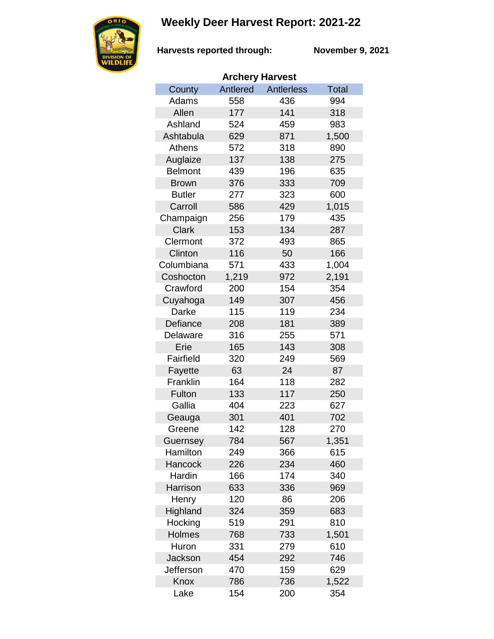## **Weekly Deer Harvest Report: 2021-22**



**Harvests reported through:** 

**November 9, 2021**

| <b>Archery Harvest</b> |          |                   |       |  |  |  |  |
|------------------------|----------|-------------------|-------|--|--|--|--|
| County                 | Antlered | <b>Antlerless</b> | Total |  |  |  |  |
| Adams                  | 558      | 436               | 994   |  |  |  |  |
| Allen                  | 177      | 141               | 318   |  |  |  |  |
| Ashland                | 524      | 459               | 983   |  |  |  |  |
| Ashtabula              | 629      | 871               | 1,500 |  |  |  |  |
| <b>Athens</b>          | 572      | 318               | 890   |  |  |  |  |
| Auglaize               | 137      | 138               | 275   |  |  |  |  |
| <b>Belmont</b>         | 439      | 196               | 635   |  |  |  |  |
| <b>Brown</b>           | 376      | 333               | 709   |  |  |  |  |
| <b>Butler</b>          | 277      | 323               | 600   |  |  |  |  |
| Carroll                | 586      | 429               | 1,015 |  |  |  |  |
| Champaign              | 256      | 179               | 435   |  |  |  |  |
| <b>Clark</b>           | 153      | 134               | 287   |  |  |  |  |
| Clermont               | 372      | 493               | 865   |  |  |  |  |
| Clinton                | 116      | 50                | 166   |  |  |  |  |
| Columbiana             | 571      | 433               | 1,004 |  |  |  |  |
| Coshocton              | 1,219    | 972               | 2,191 |  |  |  |  |
| Crawford               | 200      | 154               | 354   |  |  |  |  |
| Cuyahoga               | 149      | 307               | 456   |  |  |  |  |
| Darke                  | 115      | 119               | 234   |  |  |  |  |
| Defiance               | 208      | 181               | 389   |  |  |  |  |
| Delaware               | 316      | 255               | 571   |  |  |  |  |
| Erie                   | 165      | 143               | 308   |  |  |  |  |
| Fairfield              | 320      | 249               | 569   |  |  |  |  |
| Fayette                | 63       | 24                | 87    |  |  |  |  |
| Franklin               | 164      | 118               | 282   |  |  |  |  |
| Fulton                 | 133      | 117               | 250   |  |  |  |  |
| Gallia                 | 404      | 223               | 627   |  |  |  |  |
| Geauga                 | 301      | 401               | 702   |  |  |  |  |
| Greene                 | 142      | 128               | 270   |  |  |  |  |
| Guernsey               | 784      | 567               | 1,351 |  |  |  |  |
| Hamilton               | 249      | 366               | 615   |  |  |  |  |
| Hancock                | 226      | 234               | 460   |  |  |  |  |
| Hardin                 | 166      | 174               | 340   |  |  |  |  |
| Harrison               | 633      | 336               | 969   |  |  |  |  |
| Henry                  | 120      | 86                | 206   |  |  |  |  |
| Highland               | 324      | 359               | 683   |  |  |  |  |
| Hocking                | 519      | 291               | 810   |  |  |  |  |
| <b>Holmes</b>          | 768      | 733               | 1,501 |  |  |  |  |
| Huron                  | 331      | 279               | 610   |  |  |  |  |
| <b>Jackson</b>         | 454      | 292               | 746   |  |  |  |  |
| Jefferson              | 470      | 159               | 629   |  |  |  |  |
| Knox                   | 786      | 736               | 1,522 |  |  |  |  |
| Lake                   | 154      | 200               | 354   |  |  |  |  |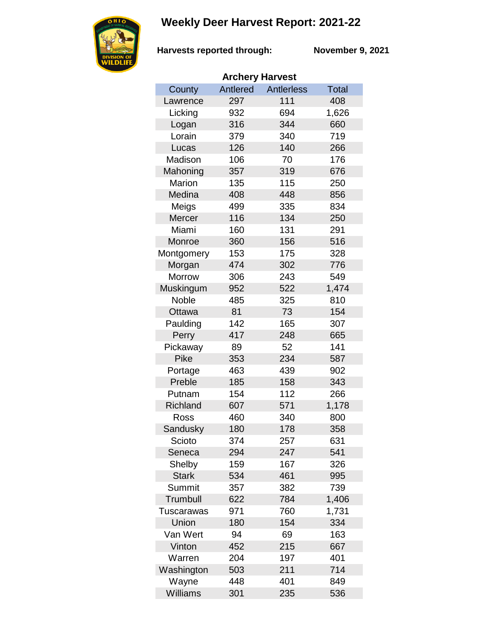## **Weekly Deer Harvest Report: 2021-22**



**Harvests reported through:** 

**November 9, 2021**

| <b>Archery Harvest</b> |          |                   |              |  |  |  |  |
|------------------------|----------|-------------------|--------------|--|--|--|--|
| County                 | Antlered | <b>Antlerless</b> | <b>Total</b> |  |  |  |  |
| Lawrence               | 297      | 111               | 408          |  |  |  |  |
| Licking                | 932      | 694               | 1,626        |  |  |  |  |
| Logan                  | 316      | 344               | 660          |  |  |  |  |
| Lorain                 | 379      | 340               | 719          |  |  |  |  |
| Lucas                  | 126      | 140               | 266          |  |  |  |  |
| Madison                | 106      | 70                | 176          |  |  |  |  |
| Mahoning               | 357      | 319               | 676          |  |  |  |  |
| Marion                 | 135      | 115               | 250          |  |  |  |  |
| Medina                 | 408      | 448               | 856          |  |  |  |  |
| Meigs                  | 499      | 335               | 834          |  |  |  |  |
| Mercer                 | 116      | 134               | 250          |  |  |  |  |
| Miami                  | 160      | 131               | 291          |  |  |  |  |
| Monroe                 | 360      | 156               | 516          |  |  |  |  |
| Montgomery             | 153      | 175               | 328          |  |  |  |  |
| Morgan                 | 474      | 302               | 776          |  |  |  |  |
| <b>Morrow</b>          | 306      | 243               | 549          |  |  |  |  |
| Muskingum              | 952      | 522               | 1,474        |  |  |  |  |
| <b>Noble</b>           | 485      | 325               | 810          |  |  |  |  |
| Ottawa                 | 81       | 73                | 154          |  |  |  |  |
| Paulding               | 142      | 165               | 307          |  |  |  |  |
| Perry                  | 417      | 248               | 665          |  |  |  |  |
| Pickaway               | 89       | 52                | 141          |  |  |  |  |
| Pike                   | 353      | 234               | 587          |  |  |  |  |
| Portage                | 463      | 439               | 902          |  |  |  |  |
| Preble                 | 185      | 158               | 343          |  |  |  |  |
| Putnam                 | 154      | 112               | 266          |  |  |  |  |
| Richland               | 607      | 571               | 1,178        |  |  |  |  |
| Ross                   | 460      | 340               | 800          |  |  |  |  |
| Sandusky               | 180      | 178               | 358          |  |  |  |  |
| Scioto                 | 374      | 257               | 631          |  |  |  |  |
| Seneca                 | 294      | 247               | 541          |  |  |  |  |
| Shelby                 | 159      | 167               | 326          |  |  |  |  |
| <b>Stark</b>           | 534      | 461               | 995          |  |  |  |  |
| Summit                 | 357      | 382               | 739          |  |  |  |  |
| Trumbull               | 622      | 784               | 1,406        |  |  |  |  |
| Tuscarawas             | 971      | 760               | 1,731        |  |  |  |  |
| Union                  | 180      | 154               | 334          |  |  |  |  |
| Van Wert               | 94       | 69                | 163          |  |  |  |  |
| Vinton                 | 452      | 215               | 667          |  |  |  |  |
| Warren                 | 204      | 197               | 401          |  |  |  |  |
| Washington             | 503      | 211               | 714          |  |  |  |  |
| Wayne                  | 448      | 401               | 849          |  |  |  |  |
| <b>Williams</b>        | 301      | 235               | 536          |  |  |  |  |